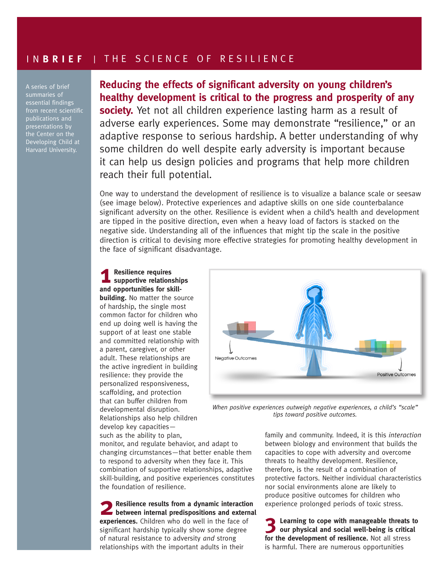## I N **BRIEF** | THE SCIENCE OF RESILIENCE

A series of brief essential findings from recent scientific publications and presentations by the Center on the Developing Child at Harvard University.

## **Reducing the effects of significant adversity on young children's healthy development is critical to the progress and prosperity of any**

**society.** Yet not all children experience lasting harm as a result of adverse early experiences. Some may demonstrate "resilience," or an adaptive response to serious hardship. A better understanding of why some children do well despite early adversity is important because it can help us design policies and programs that help more children reach their full potential.

One way to understand the development of resilience is to visualize a balance scale or seesaw (see image below). Protective experiences and adaptive skills on one side counterbalance significant adversity on the other. Resilience is evident when a child's health and development are tipped in the positive direction, even when a heavy load of factors is stacked on the negative side. Understanding all of the influences that might tip the scale in the positive direction is critical to devising more effective strategies for promoting healthy development in the face of significant disadvantage.

**1 Resilience requires supportive relationships and opportunities for skillbuilding.** No matter the source of hardship, the single most common factor for children who end up doing well is having the support of at least one stable and committed relationship with a parent, caregiver, or other adult. These relationships are the active ingredient in building resilience: they provide the personalized responsiveness, scaffolding, and protection that can buffer children from developmental disruption. Relationships also help children develop key capacities such as the ability to plan,



*When positive experiences outweigh negative experiences, a child's "scale" tips toward positive outcomes.*

monitor, and regulate behavior, and adapt to changing circumstances—that better enable them to respond to adversity when they face it. This combination of supportive relationships, adaptive skill-building, and positive experiences constitutes the foundation of resilience.

**2 Resilience results from a dynamic interaction between internal predispositions and external experiences.** Children who do well in the face of significant hardship typically show some degree of natural resistance to adversity *and* strong relationships with the important adults in their

family and community. Indeed, it is this *interaction*  between biology and environment that builds the capacities to cope with adversity and overcome threats to healthy development. Resilience, therefore, is the result of a combination of protective factors. Neither individual characteristics nor social environments alone are likely to produce positive outcomes for children who experience prolonged periods of toxic stress.

**3 Learning to cope with manageable threats to our physical and social well-being is critical for the development of resilience.** Not all stress is harmful. There are numerous opportunities